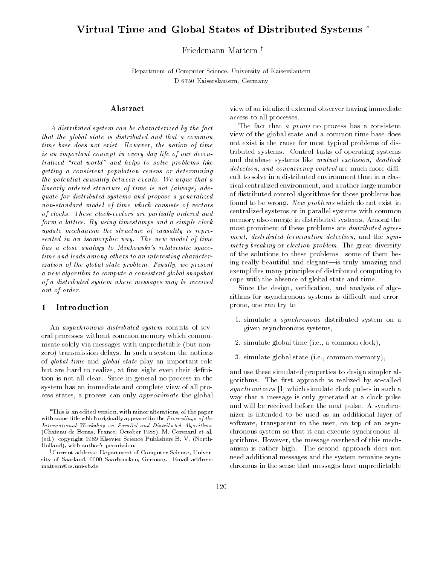# Virtual Time and Global States of Distributed Systems

## Friedemann Mattern<sup>†</sup>

Department of Computer Science, University of Kaiserslautem D 6750 Kaiserslautern, Germany

## Abstract

A distributed system can be characterized by the fact that the global state is distributed and that a common time base does not exist. However, the notion of time is an important concept in every day life of our decentralized "real world" and helps to solve problems like getting a consistent population census or determining the potential causality between events. We argue that a linearly ordered structure of time is not (always) adequate for distributed systems and propose a generalized non-standard model of time which consists of vectors of clocks. These clock-vectors are partially ordered and form a lattice. By using timestamps and a simple clock update mechanism the structure of causality is represented in an isomorphic way. The new model of time has a close analogy to Minkowski's relativistic spacetime and leads among others to an interesting character $isation of the global state problem. Finally, we present$ a new algorithm to compute a consistent global snapshot of a distributed system where messages may be received out of order.

## 1 Introduction

An asynchronous distributed system consists of several processes without common memory which communicate solely via messages with unpredictable (but nonzero) transmission delays. In such a system the notions of global time and global state play an important role but are hard to realize, at first sight even their definition is not all clear. Since in general no process in the system has an immediate and complete view of all process states, a process can only approximate the global view of an idealized external observer having immediate access to all processes.

The fact that *a priori* no process has a consistent view of the global state and a common time base does not exist is the cause for most typical problems of distributed systems. Control tasks of operating systems and database systems like mutual exclusion, deadlock  $detection, and concurrency control are much more diffi$ cult to solve in a distributed environment than in a classical centralized environment, and a rather large number of distributed control algorithms for those problems has found to be wrong. New problems which do not exist in centralized systems or in parallel systems with common memory also emerge in distributed systems. Among the most prominent of these problems are *distributed agree*ment, distributed termination detection, and the symmetry breaking or election problem. The great diversity of the solutions to these problems—some of them being really beautiful and elegant-is truly amazing and exemplies many principles of distributed computing to cope with the absence of global state and time.

Since the design, verication, and analysis of algorithms for asynchronous systems is difficult and errorprone, one can try to

- 1. simulate a synchronous distributed system on a given asynchronous systems,
- 2. simulate global time (i.e., a common clock),
- 3. simulate global state (i.e., common memory),

and use these simulated properties to design simpler algorithms. The first approach is realized by so-called synchronizers [1] which simulate clock pulses in such a way that a message is only generated at a clock pulse and will be received before the next pulse. A synchronizer is intended to be used as an additional layer of software, transparent to the user, on top of an asynchronous system so that it can execute synchronous algorithms. However, the message overhead of this mechanism is rather high. The second approach does not need additional messages and the system remains asynchronous in the sense that messages have unpredictable

This is an edited version, with minor alterations, of the paperwith same title which originally appeared in the *Proceedings of the* International Workshop on Parallel and Distributed Algorithms (Chateau de Bonas, France, October 1988), M. Corsnard et al.(ed.) copyright 1989 Elsevier Science Publishers B. V. (North-Holland), with author's permission.

<sup>&</sup>lt;sup>†</sup>Current address: Department of Computer Science, University of Saarland, 6600 Saarbrucken, Germany. Email address:mattern@cs.uni-sb.de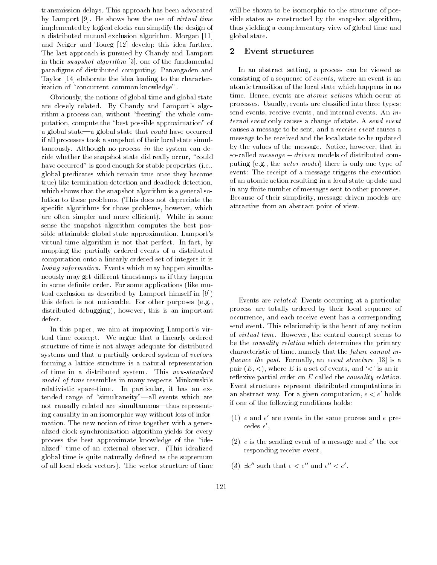transmission delays. This approach has been advocated by Lamport [9]. He shows how the use of virtual time implemented by logical clocks can simplify the design of a distributed mutual exclusion algorithm. Morgan [11] and Neiger and Toueg [12] develop this idea further. The last approach is pursued by Chandy and Lamport in their snapshot algorithm [3], one of the fundamental paradigms of distributed computing. Panangaden and Taylor [14] elaborate the idea leading to the characterization of "concurrent common knowledge".

Obviously, the notions of global time and global state are closely related. By Chandy and Lamport's algorithm a process can, without \freezing" the whole computation, compute the "best possible approximation" of a global state—a global state that  $could$  have occurred if all processes took a snapshot of their local state simultaneously. Although no process in the system can decide whether the snapshot state did really occur, "could have occurred" is good enough for stable properties (i.e., global predicates which remain true once they become true) like termination detection and deadlock detection, which shows that the snapshot algorithm is a general solution to these problems. (This does not depreciate the specic algorithms for those problems, however, which are often simpler and more efficient). While in some sense the snapshot algorithm computes the best possible attainable global state approximation, Lamport's virtual time algorithm is not that perfect. In fact, by mapping the partially ordered events of a distributed computation onto a linearly ordered set of integers it is losing information. Events which may happen simultaneously may get different timestamps as if they happen in some definite order. For some applications (like mutual exclusion as described by Lamport himself in [9]) this defect is not noticeable. For other purposes (e.g., distributed debugging), however, this is an important defect.

In this paper, we aim at improving Lamport's virtual time concept. We argue that a linearly ordered structure of time is not always adequate for distributed systems and that a partially ordered system of vectors forming a lattice structure is a natural representation of time in a distributed system. This non-standard model of time resembles in many respects Minkowski's relativistic space-time. In particular, it has an extended range of "simultaneity"-all events which are not causally related are simultaneous—thus representing causality in an isomorphic way without loss of information. The new notion of time together with a generalized clock synchronization algorithm yields for every process the best approximate knowledge of the "idealized" time of an external observer. (This idealized global time is quite naturally defined as the supremum of all local clock vectors). The vector structure of time

will be shown to be isomorphic to the structure of possible states as constructed by the snapshot algorithm, thus yielding a complementary view of global time and global state.

#### 2 Event structures

In an abstract setting, a process can be viewed as consisting of a sequence of  $events$ , where an event is an atomic transition of the local state which happens in no time. Hence, events are *atomic actions* which occur at processes. Usually, events are classied into three types: send events, receive events, and internal events. An *in*ternal event only causes a change of state. A send event causes a message to be sent, and a receive event causes a message to be received and the local state to be updated by the values of the message. Notice, however, that in so-called message driven models of distributed computing (e.g., the actor model) there is only one type of event: The receipt of a message triggers the execution of an atomic action resulting in a local state update and in any finite number of messages sent to other processes. Because of their simplicity, message-driven models are attractive from an abstract point of view.

Events are related: Events occurring at a particular process are totally ordered by their local sequence of occurrence, and each receive event has a corresponding send event. This relationship is the heart of any notion of virtual time. However, the central concept seems to be the *causality relation* which determines the primary characteristic of time, namely that the future cannot in fluence the past. Formally, an event structure  $[13]$  is a pair  $(E, \langle \rangle)$ , where E is a set of events, and  $\langle \langle \rangle$  is an irreflexive partial order on  $E$  called the *causality relation*. Event structures represent distributed computations in an abstract way. For a given computation,  $e < e'$  holds if one of the following conditions holds:

- (1) <sup>e</sup> and <sup>e</sup> 0 are events in the same process and <sup>e</sup> precedes <sup>e</sup> 0,
- (2)  $e$  is the sending event of a message and  $e\,$  the corresponding receive event,
- (3)  $\exists e$  such that  $e < e$  and  $e < e$ .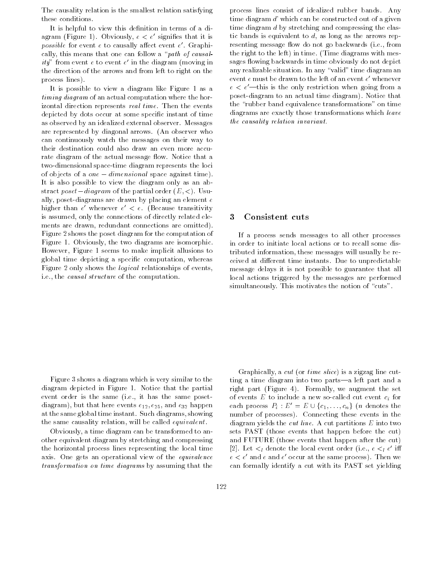The causality relation is the smallest relation satisfying these conditions.

It is helpful to view this definition in terms of a diagram (Figure 1). Obviously,  $e < e'$  signifies that it is  $possive$  for event  $e$  to causally allect event  $e$  . Graphically, this means that one can follow a "path of causal- $\iota \iota \iota$  from event  $e$  to event  $e$  in the diagram (moving in the direction of the arrows and from left to right on the process lines).

It is possible to view a diagram like Figure 1 as a timing diagram of an actual computation where the horizontal direction represents real time. Then the events depicted by dots occur at some specic instant of time as observed by an idealized external observer. Messages are represented by diagonal arrows. (An observer who can continuously watch the messages on their way to their destination could also draw an even more accurate diagram of the actual message flow. Notice that a two-dimensional space-time diagram represents the loci of objects of a one dimensional space against time). It is also possible to view the diagram only as an abstract  $poset-diagram$  of the partial order  $(E,<)$ . Usually, poset-diagrams are drawn by placing an element <sup>e</sup> nigher than  $e$  whenever  $e$   $\lt$   $e$ . (Because transitivity is assumed, only the connections of directly related ele ments are drawn, redundant connections are omitted). Figure 2 shows the poset diagram for the computation of Figure 1. Obviously, the two diagrams are isomorphic. However, Figure 1 seems to make implicit allusions to global time depicting a specic computation, whereas Figure 2 only shows the logical relationships of events, i.e., the causal structure of the computation.

process lines consist of idealized rubber bands. Any time diagram <sup>d</sup>' which can be constructed out of a given time diagram d by stretching and compressing the elastic bands is equivalent to  $d$ , as long as the arrows representing message flow do not go backwards (i.e., from the right to the left) in time. (Time diagrams with messages flowing backwards in time obviously do not depict any realizable situation. In any "valid" time diagram an event <sup>e</sup> must be drawn to the left of an event <sup>e</sup> 0 whenever  $e < e'$  this is the only restriction when going from a poset-diagram to an actual time diagram). Notice that the \rubber band equivalence transformations" on time diagrams are exactly those transformations which leave the causality relation invariant.

## 3 Consistent cuts

If a process sends messages to all other processes in order to initiate local actions or to recall some distributed information, these messages will usually be received at different time instants. Due to unpredictable message delays it is not possible to guarantee that all local actions triggered by the messages are performed simultaneously. This motivates the notion of "cuts".

Figure 3 shows a diagram which is very similar to the diagram depicted in Figure 1. Notice that the partial event order is the same (i.e., it has the same posetdiagram), but that here events  $e_{12}$ ,  $e_{25}$ , and  $e_{32}$  happen at the same global time instant. Such diagrams, showing the same causality relation, will be called equivalent.

Obviously, a time diagram can be transformed to another equivalent diagram by stretching and compressing the horizontal process lines representing the local time axis. One gets an operational view of the equivalence transformation on time diagrams by assuming that the

Graphically, a *cut* (or *time slice*) is a zigzag line cutting a time diagram into two parts-a left part and a right part (Figure 4). Formally, we augment the set of events  $E$  to include a new so-called cut event  $c_i$  for each process  $P_i : E = E \cup \{c_1, \ldots, c_n\}$  (*n* denotes the number of processes). Connecting these events in the diagram yields the *cut line*. A cut partitions  $E$  into two sets PAST (those events that happen before the cut) and FUTURE (those events that happen after the cut)  $|2|$ . Let  $\leq$  denote the local event order (i.e.,  $e \leq_l e$  in  $e$   $\lt$   $e$  and  $e$  and  $e$  occur at the same process). Then we can formally identify a cut with its PAST set yielding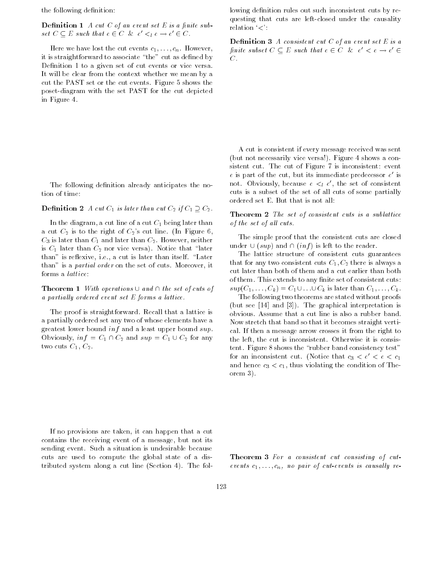the following definition:

**Definition 1** A cut C of an event set E is a finite sub- $\mathcal{S}et\cup\subseteq E$  such that  $e\in\cup\ \infty\ e\prec_i e\to e\ \in\cup\,$ .

Here we have lost the cut events  $c_1, \ldots, c_n$ . However, it is straightforward to associate "the" cut as defined by Definition 1 to a given set of cut events or vice versa. It will be clear from the context whether we mean by a cut the PAST set or the cut events. Figure 5 shows the poset-diagram with the set PAST for the cut depicted in Figure 4.

The following definition already anticipates the notion of time:

#### $\sum$  CHIRTICH 2 A cut C<sub>1</sub> is later than cut C<sub>2</sub> if C<sub>1</sub>  $\geq$  C<sub>2</sub>.

In the diagram, a cut line of a cut  $C_1$  being later than a cut  $C_2$  is to the right of  $C_2$ 's cut line. (In Figure 6,  $C_3$  is later than  $C_1$  and later than  $C_2$ . However, neither is  $C_1$  later than  $C_2$  nor vice versa). Notice that "later than" is reflexive, i.e., a cut is later than itself. "Later than" is a partial order on the set of cuts. Moreover, it forms a lattice:

 $\blacksquare$  Theorem  $\blacksquare$  With operations  $\bigcirc$  and  $\sqcap$  the set of cuts of a partially ordered event set  $E$  forms a lattice.

The proof is straightforward. Recall that a lattice is a partially ordered set any two of whose elements have a greatest lower bound *inf* and a least upper bound *sup*.  $\sigma$  change  $\sigma_1 \cdots \sigma_n$  and sup  $\sigma_1 \circ \sigma_2$  for any two cuts  $C_1, C_2$ .

lowing definition rules out such inconsistent cuts by requesting that cuts are left-closed under the causality relation  $\langle \cdot \rangle$ :

**Definition 3** A consistent cut  $C$  of an event set  $E$  is a finite subset  $C \subseteq E$  such that  $e \in C \land c \in C \Rightarrow e \in C$  $C$  .

A cut is consistent if every message received was sent (but not necessarily vice versa!). Figure 4 shows a consistent cut. The cut of Figure 7 is inconsistent: event e is part of the cut, but its immediate predecessor e is not. Obviously, because  $e \leq_l e$ , the set of consistent cuts is a subset of the set of all cuts of some partially ordered set E. But that is not all:

#### **Theorem 2** The set of consistent cuts is a sublattice of the set of all cuts.

The simple proof that the consistent cuts are closed  $\text{max}$   $\sigma$  (sup) and  $\sigma$  (inf) is left to the reader.

The lattice structure of consistent cuts guarantees that for any two consistent cuts  $C_1, C_2$  there is always a cut later than both of them and a cut earlier than both of them. This extends to any finite set of consistent cuts:  $sup(C_1, \ldots, C_k) = C_1 \cup \ldots \cup C_k$  is later than  $C_1, \ldots, C_k$ .

The following two theorems are stated without proofs (but see [14] and [3]). The graphical interpretation is obvious. Assume that a cut line is also a rubber band. Now stretch that band so that it becomes straight vertical. If then a message arrow crosses it from the right to the left, the cut is inconsistent. Otherwise it is consistent. Figure 8 shows the \rubber band consistency test" for an inconsistent cut. (Notice that  $c_3 < e' < e < c_1$ and hence  $c_3 < c_1$ , thus violating the condition of Theorem 3).

If no provisions are taken, it can happen that a cut contains the receiving event of a message, but not its sending event. Such a situation is undesirable because cuts are used to compute the global state of a distributed system along a cut line (Section 4). The fol-

Theorem 3 For a consistent cut consisting of cutevents  $c_1, \ldots, c_n$ , no pair of cut-events is causally re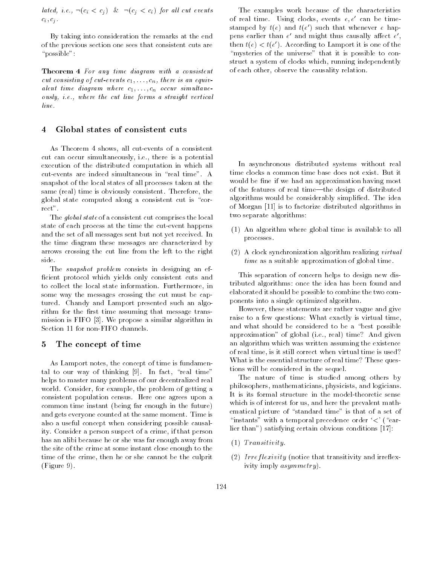lated, i.e.,  $\neg(c_i < c_j) \& \neg(c_j < c_i)$  for all cut events  $c_i, c_j$ .

By taking into consideration the remarks at the end of the previous section one sees that consistent cuts are " $\text{possible}$ ":

Theorem 4 For any time diagram with a consistent cut consisting of cut-events  $c_1, \ldots, c_n$ , there is an equivalent time diagram where  $c_1, \ldots, c_n$  occur simultaneously, i.e., where the cut line forms a straight vertical line.

#### 4 Global states of consistent cuts

As Theorem 4 shows, all cut-events of a consistent cut can occur simultaneously, i.e., there is a potential execution of the distributed computation in which all cut-events are indeed simultaneous in "real time". A snapshot of the local states of all processes taken at the same (real) time is obviously consistent. Therefore, the global state computed along a consistent cut is "correct".

The global state of a consistent cut comprises the local state of each process at the time the cut-event happens and the set of all messages sent but not yet received. In the time diagram these messages are characterized by arrows crossing the cut line from the left to the right side.

The *snapshot problem* consists in designing an efficient protocol which yields only consistent cuts and to collect the local state information. Furthermore, in some way the messages crossing the cut must be captured. Chandy and Lamport presented such an algorithm for the first time assuming that message transmission is FIFO [3]. We propose a similar algorithm in Section 11 for non-FIFO channels.

#### 5 The concept of time

As Lamport notes, the concept of time is fundamental to our way of thinking  $[9]$ . In fact, "real time" helps to master many problems of our decentralized real world. Consider, for example, the problem of getting a consistent population census. Here one agrees upon a common time instant (being far enough in the future) and gets everyone counted at the same moment. Time is also a useful concept when considering possible causality. Consider a person suspect of a crime, if that person has an alibi because he or she was far enough away from the site of the crime at some instant close enough to the time of the crime, then he or she cannot be the culprit (Figure 9).

The examples work because of the characteristics of real time. Using clocks, events  $e, e'$  can be time- $\operatorname{standard}$  by  $\iota(e)$  and  $\iota(e)$  such that whenever  $e$  happens earlier than  $e$  and might thus causally allect  $e$  ,  $\hskip 0.2cm$ pens earlier than  $e$  and imight thus causally allect  $e$ ,<br>then  $t(e) < t(e')$ . According to Lamport it is one of the "mysteries of the universe" that it is possible to construct a system of clocks which, running independently of each other, observe the causality relation.

In asynchronous distributed systems without real time clocks a common time base does not exist. But it would be fine if we had an approximation having most of the features of real time—the design of distributed algorithms would be considerably simplied. The idea of Morgan [11] is to factorize distributed algorithms in two separate algorithms:

- (1) An algorithm where global time is available to all processes.
- (2) A clock synchronization algorithm realizing virtual time as a suitable approximation of global time.

This separation of concern helps to design new distributed algorithms: once the idea has been found and elaborated it should be possible to combine the two components into a single optimized algorithm.

However, these statements are rather vague and give raise to a few questions: What exactly is virtual time, and what should be considered to be a "best possible approximation" of global (i.e., real) time? And given an algorithm which was written assuming the existence of real time, is it still correct when virtual time is used? What is the essential structure of real time? These questions will be considered in the sequel.

The nature of time is studied among others by philosophers, mathematicians, physicists, and logicians. It is its formal structure in the model-theoretic sense which is of interest for us, and here the prevalent mathematical picture of "standard time" is that of a set of "instants" with a temporal precedence order  $\leq$ ' ("earlier than") satisfying certain obvious conditions [17]:

- $(1)$  Transitivity.
- $(2)$  Irreflexivity (notice that transitivity and irreflexivity imply asymmetry).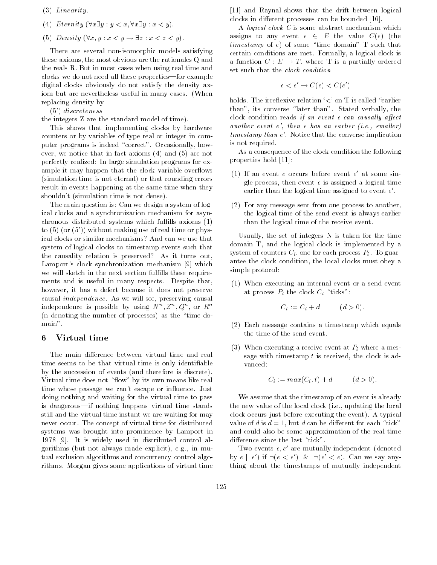- (3) Linearity.
- (4) Eternity  $(\forall x \exists y : y < x, \forall x \exists y : x < y)$ .
- 

(5) Density (8x; y :  $x < y \rightarrow 2z$  :  $x < z < y$ ).<br>There are several non-isomorphic models satisfying these axioms, the most obvious are the rationales Q and the reals R. But in most cases when using real time and clocks we do not need all these properties—for example digital clocks obviously do not satisfy the density axiom but are nevertheless useful in many cases. (When replacing density by

(5') discreteness

the integers Z are the standard model of time).

This shows that implementing clocks by hardware counters or by variables of type real or integer in computer programs is indeed "correct". Occasionally, however, we notice that in fact axioms (4) and (5) are not perfectly realized: In large simulation programs for example it may happen that the clock variable overflows (simulation time is not eternal) or that rounding errors result in events happening at the same time when they shouldn't (simulation time is not dense).

The main question is: Can we design a system of logical clocks and a synchronization mechanism for asynchronous distributed systems which fullls axioms (1) to  $(5)$  (or  $(5')$ ) without making use of real time or physical clocks or similar mechanisms? And can we use that system of logical clocks to timestamp events such that the causality relation is preserved? As it turns out, Lamport's clock synchronization mechanism [9] which we will sketch in the next section fulfills these requirements and is useful in many respects. Despite that, however, it has a defect because it does not preserve causal independence. As we will see, preserving causal independence is possible by using  $N^-, Z^-, Q^-,$  or  $R^-$ (n denoting the number of processes) as the \time domain".

## 6 Virtual time

The main difference between virtual time and real time seems to be that virtual time is only identiable by the succession of events (and therefore is discrete). Virtual time does not "flow" by its own means like real time whose passage we can't escape or influence. Just doing nothing and waiting for the virtual time to pass is dangerous—if nothing happens virtual time stands still and the virtual time instant we are waiting for may never occur. The concept of virtual time for distributed systems was brought into prominence by Lamport in 1978 [9]. It is widely used in distributed control algorithms (but not always made explicit), e.g., in mutual exclusion algorithms and concurrency control algorithms. Morgan gives some applications of virtual time

[11] and Raynal shows that the drift between logical clocks in different processes can be bounded [16].

A logical clock C is some abstract mechanism which assigns to any event  $\epsilon \in E$  in the value  $C(\epsilon)$  (the  $t_{\text{t}}$  ,  $t_{\text{t}}$  of some  $\text{t}$  that  $\text{t}$  such that certain conditions are met. Formally, a logical clock is  $\alpha$  function  $C_1$  is  $C_2$  ;  $\alpha$  , where  $\alpha$  is a partially ordered set such that the clock condition

$$
e < e' \rightarrow C(e) < C(e')
$$

holds. The irreflexive relation  $\langle \langle \rangle$  on T is called "earlier" than", its converse "later than". Stated verbally, the clock condition reads if an event  $e$  can causally affect another event  $e'$ , then  $e$  has an earlier (i.e., smaller) timestamp than e'. Notice that the converse implication is not required.

As a consequence of the clock condition the following properties hold [11]:

- (1) If an event <sup>e</sup> occurs before event <sup>e</sup> 0 at some single process, then event  $e$  is assigned a logical time earlier than the logical time assigned to event  $e'$ .
- $(2)$  For any message sent from one process to another, the logical time of the send event is always earlier than the logical time of the receive event.

Usually, the set of integers N is taken for the time domain T, and the logical clock is implemented by a system of counters  $C_i$ , one for each process  $P_i$ . To guarantee the clock condition, the local clocks must obey a simple protocol:

(1) When executing an internal event or a send event at process  $P_i$  the clock  $C_i$  "ticks":

$$
C_i := C_i + d \qquad (d > 0)
$$

- (2) Each message contains a timestamp which equals the time of the send event.
- (3) When executing a receive event at  $P_i$  where a message with timestamp  $t$  is received, the clock is advanced:

$$
C_i := max(C_i, t) + d \qquad (d > 0).
$$

We assume that the timestamp of an event is already the new value of the local clock (i.e., updating the local clock occurs just before executing the event). A typical value of d is  $d = 1$ , but d can be different for each "tick" and could also be some approximation of the real time difference since the last "tick".

Two events  $e, e'$  are mutually independent (denoted by  $e \parallel e'$ ) if  $\neg(e \leq e')$  &  $\neg(e' \leq e')$ . Can we say anything about the timestamps of mutually independent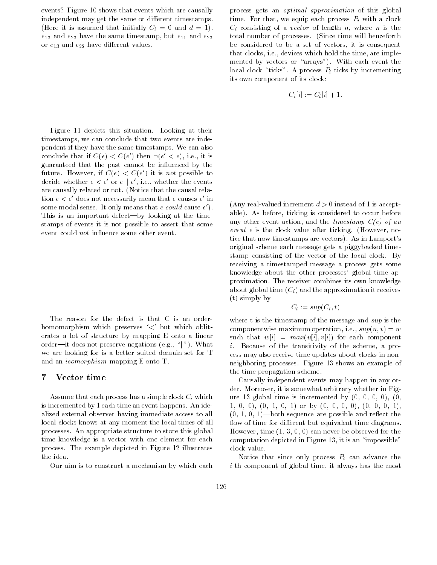events? Figure 10 shows that events which are causally independent may get the same or different timestamps. (Here it is assumed that initially  $C_i = 0$  and  $d = 1$ ).  $e_{12}$  and  $e_{22}$  have the same timestamp, but  $e_{11}$  and  $e_{22}$ or  $e_{13}$  and  $e_{22}$  have different values.

Figure 11 depicts this situation. Looking at their timestamps, we can conclude that two events are independent if they have the same timestamps. We can also conclude that if  $C(e) < C(e)$  then  $\neg(e) < e$ ), i.e., it is guaranteed that the past cannot be in
uenced by the future. However, if  $C(\ell) < C(\ell)$  it is not possible to decide whether  $e < e$  or  $e \parallel e$ , i.e., whether the events are causally related or not. (Notice that the causal relation  $e < e$  aves not necessarily mean that  $e$  causes  $e$  in some modal sense. It only means that *e could* cause *e* ). This is an important defect—by looking at the timestamps of events it is not possible to assert that some event could *not* influence some other event.

The reason for the defect is that C is an orderhomomorphism which preserves '<' but which obliterates a lot of structure by mapping E onto a linear order—it does not preserve negations (e.g., " $\|$ "). What we are looking for is a better suited domain set for T and an isomorphism mapping E onto T.

## 7 Vector time

Assume that each process has a simple clock  $C_i$  which is incremented by 1 each time an event happens. An idealized external observer having immediate access to all local clocks knows at any moment the local times of all processes. An appropriate structure to store this global time knowledge is a vector with one element for each process. The example depicted in Figure 12 illustrates the idea.

Our aim is to construct a mechanism by which each

process gets an optimal approximation of this global time. For that, we equip each process  $P_i$  with a clock  $C_i$  consisting of a vector of length n, where n is the total number of processes. (Since time will henceforth be considered to be a set of vectors, it is consequent that clocks, i.e., devices which hold the time, are imple mented by vectors or "arrays"). With each event the local clock "ticks". A process  $P_i$  ticks by incrementing its own component of its clock:

$$
C_i[i] := C_i[i] + 1.
$$

(Any real-valued increment  $d>0$  instead of 1 is acceptable). As before, ticking is considered to occur before any other event action, and the timestamp  $C(e)$  of an event e is the clock value after ticking. (However, notice that now timestamps are vectors). As in Lamport's original scheme each message gets a piggybacked timestamp consisting of the vector of the local clock. By receiving a timestamped message a process gets some knowledge about the other processes' global time approximation. The receiver combines its own knowledge about global time  $(C_i)$  and the approximation it receives (t) simply by

$$
C_i := sup(C_i, t)
$$

where t is the timestamp of the message and sup is the componentwise maximum operation, i.e.,  $sup(u, v) = w$ such that  $w[i] = max(u[i], v[i])$  for each component i. Because of the transitivity of the scheme, a process may also receive time updates about clocks in nonneighboring processes. Figure 13 shows an example of the time propagation scheme.

Causally independent events may happen in any order. Moreover, it is somewhat arbitrary whether in Figure 13 global time is incremented by  $(0, 0, 0, 0)$ ,  $(0, 0, 0)$ 1, 0, 0), (0, 1, 0, 1) or by (0, 0, 0, 0), (0, 0, 0, 1),  $(0, 1, 0, 1)$ —both sequence are possible and reflect the flow of time for different but equivalent time diagrams. However, time (1, 3, 0, 0) can never be observed for the computation depicted in Figure 13, it is an \impossible" clock value.

Notice that since only process  $P_i$  can advance the i-th component of global time, it always has the most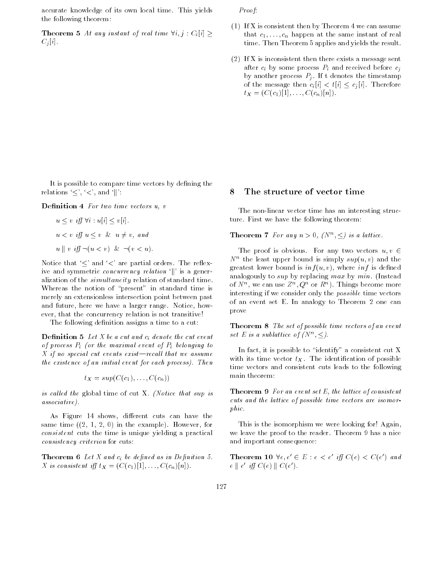accurate knowledge of its own local time. This yields the following theorem:

**Theorem 5** At any instant of real time  $\forall i, j$ .  $C_i[i] \geq$  $C_j[i]$ .

Proof:

- (1) If X is consistent then by Theorem 4 we can assume that  $c_1, \ldots, c_n$  happen at the same instant of real time. Then Theorem 5 applies and yields the result.
- (2) If X is inconsistent then there exists a message sent after  $c_i$  by some process  $P_i$  and received before  $c_j$ by another process  $P_i$ . If t denotes the timestamp of the message then  $c_i[t] \leq t[i] \leq c_j[t]$ . Therefore  $t_X = (C(c_1)[1], \ldots, C(c_n)[n]).$

It is possible to compare time vectors by defining the relations  $\leq', \leq',$  and  $\|$ :

Definition 4 For two time vectors u, v

$$
u \le v \quad \text{iff} \quad \forall i : u[i] \le v[i].
$$
\n
$$
u < v \quad \text{iff} \quad u \le v \quad \& u \ne v, \quad \text{and}
$$
\n
$$
u \parallel v \quad \text{iff} \quad \neg(u < v) \quad \& \quad \neg(v < u).
$$

Notice that  $\leq'$  and  $\leq'$  are partial orders. The reflexive and symmetric *concurrency relation*  $\lVert$  is a generalization of the simultaneity relation of standard time. Whereas the notion of "present" in standard time is merely an extensionless intersection point between past and future, here we have a larger range. Notice, however, that the concurrency relation is not transitive!

The following definition assigns a time to a cut:

**Definition 5** Let X be a cut and  $c_i$  denote the cut event of process  $P_i$  (or the maximal event of  $P_i$  belonging to X if no special cut events exist—recall that we assume the existence of an initial event for each process). Then

$$
t_X = sup(C(c_1), \ldots, C(c_n))
$$

is called the global time of cut X. (Notice that sup is associative).

As Figure 14 shows, different cuts can have the same time  $(2, 1, 2, 0)$  in the example). However, for consistent cuts the time is unique yielding a practical consistency criterion for cuts:

**Theorem 6** Let X and  $c_i$  be defined as in Definition 5. X is consistent iff  $t_X = (C(c_1)[1], \ldots, C(c_n)[n]).$ 

## 8 The structure of vector time

The non-linear vector time has an interesting structure. First we have the following theorem:

**Theorem** *(ror any n > 0, (N<sup>n</sup>,*  $\leq$ *) is a lattice.* 

The proof is obvious. For any two vectors  $u, v \in$  $\alpha$  the least upper bound is simply  $sup(u, v)$  and the greatest lower bound is  $inf(u, v)$ , where  $inf$  is defined analogously to *sup* by replacing max by min. (Instead of  $N$ , we can use  $Z^{\prime\prime}$ ,  $Q^{\prime\prime}$  or  $R^{\prime\prime}$ ). Things become more interesting if we consider only the possible time vectors of an event set E. In analogy to Theorem 2 one can prove

Theorem 8 The set of possible time vectors of an event set E is a subtattice of  $(N^-, \leq)$ .

In fact, it is possible to "identify" a consistent cut X with its time vector  $t_X$ . The identification of possible time vectors and consistent cuts leads to the following main theorem:

Theorem 9 For an event set E, the lattice of consistent cuts and the lattice of possible time vectors are isomorphic.

This is the isomorphism we were looking for! Again, we leave the proof to the reader. Theorem 9 has a nice and important consequence:

**Theorem 10**  $ve, e \in E : e \leq e \text{ iff } C(e) \leq C(e)$  and  $e \parallel e \parallel U \cup (e) \parallel C(e)$ .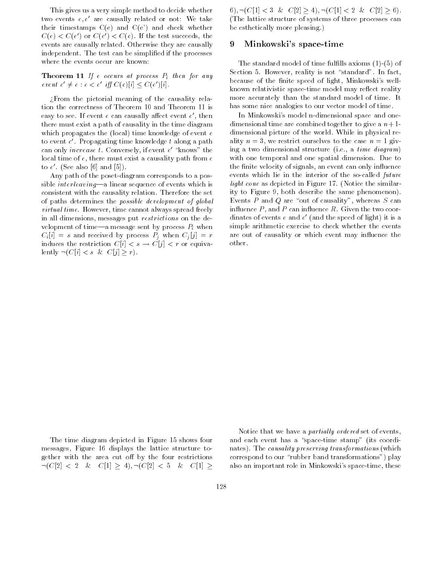This gives us a very simple method to decide whether two events  $e, e'$  are causally related or not: We take their timestamps  $C(e)$  and  $C(e')$  and check whether  $C(\epsilon) \leq C(\epsilon)$  or  $C(\epsilon) \leq C(\epsilon)$ . If the test succeeds, the events are causally related. Otherwise they are causally independent. The test can be simplied if the processes where the events occur are known:

**Theorem 11** If e occurs at process  $P_i$  then for any event  $e \neq e : e < e \text{ iff } \cup (e)[i] \leq \cup (e)[i].$ 

>From the pictorial meaning of the causality relation the correctness of Theorem 10 and Theorem 11 is easy to see. If event  $e$  can causally affect event  $e$  , then  $\sim$ there must exist a path of causality in the time diagram which propagates the (local) time knowledge of event  $e$ to event <sup>e</sup> 0. Propagating time knowledge <sup>t</sup> along a path can only *increase t*. Conversely, if event  $e$  – knows – the local time of  $e$ , there must exist a causality path from  $e$ to  $e$  . (See also [6] and [5]).

Any path of the poset-diagram corresponds to a possible *interleaving*—a linear sequence of events which is consistent with the causality relation. Therefore the set of paths determines the possible development of global virtual time. However, time cannot always spread freely in all dimensions, messages put restrictions on the development of time—a message sent by process  $P_i$  when  $C_i[i] = s$  and received by process  $P_j$  when  $C_j[j] = r$ induces the restriction  $C[i] \leq s \rightarrow C[j] \leq t$  or equivalently  $\neg(C[i] < s \& C[j] \geq r).$ 

6),  $\neg(C[1] < 3 \& C[2] \geq 4)$ ,  $\neg(C[1] < 2 \& C[2] \geq 6)$ . (The lattice structure of systems of three processes can be esthetically more pleasing.)

#### 9 Minkowski's space-time

The standard model of time fulfills axioms  $(1)-(5)$  of Section 5. However, reality is not "standard". In fact, because of the finite speed of light, Minkowski's wellknown relativistic space-time model may reflect reality more accurately than the standard model of time. It has some nice analogies to our vector model of time.

In Minkowski's model n-dimensional space and onedimensional time are combined together to give a  $n+1$ dimensional picture of the world. While in physical reality  $n = 3$ , we restrict ourselves to the case  $n = 1$  giving a two dimensional structure (i.e., a time diagram) with one temporal and one spatial dimension. Due to the finite velocity of signals, an event can only influence events which lie in the interior of the so-called future light cone as depicted in Figure 17. (Notice the similarity to Figure 9, both describe the same phenomenon). Events  $P$  and  $Q$  are "out of causality", whereas  $S$  can influence  $P$ , and  $P$  can influence  $R$ . Given the two coordinates of events  $e$  and  $e$  -tand the speed of light) it is a simple arithmetic exercise to check whether the events are out of causality or which event may influence the other.

The time diagram depicted in Figure 15 shows four messages, Figure 16 displays the lattice structure together with the area cut off by the four restrictions  $\neg(C[2] \leq 2 \& C[1] \geq 4), \neg(C[2] \leq 5 \& C[1] \geq$ 

Notice that we have a *partially ordered* set of events, and each event has a "space-time stamp" (its coordinates). The causality preserving transformations (which correspond to our \rubber band transformations") play also an important role in Minkowski's space-time, these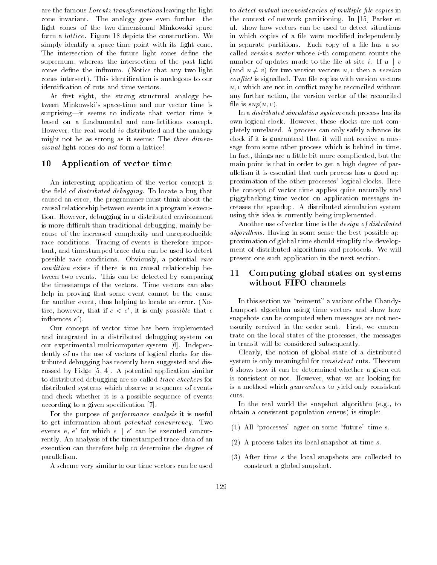are the famous Lorentz transformations leaving the light cone invariant. The analogy goes even further-the light cones of the two-dimensional Minkowski space form a lattice. Figure 18 depicts the construction. We simply identify a space-time point with its light cone. The intersection of the future light cones define the supremum, whereas the intersection of the past light cones define the infimum. (Notice that any two light cones intersect). This identication is analogous to our identification of cuts and time vectors.

At first sight, the strong structural analogy between Minkowski's space-time and our vector time is surprising-it seems to indicate that vector time is based on a fundamental and non-fictitious concept. However, the real world is distributed and the analogy might not be as strong as it seems: The three dimensional light cones do not form a lattice!

### 10 Application of vector time

An interesting application of the vector concept is the field of *distributed debugging*. To locate a bug that caused an error, the programmer must think about the causal relationship between events in a program's execution. However, debugging in a distributed environment is more difficult than traditional debugging, mainly because of the increased complexity and unreproducible race conditions. Tracing of events is therefore important, and timestamped trace data can be used to detect possible race conditions. Obviously, a potential race condition exists if there is no causal relationship between two events. This can be detected by comparing the timestamps of the vectors. Time vectors can also help in proving that some event cannot be the cause for another event, thus helping to locate an error. (Notice, however, that if  $e < e'$ , it is only *possible* that e in
uences <sup>e</sup> 0).

Our concept of vector time has been implemented and integrated in a distributed debugging system on our experimental multicomputer system [6]. Independently of us the use of vectors of logical clocks for distributed debugging has recently been suggested and discussed by Fidge [5, 4]. A potential application similar to distributed debugging are so-called trace checkers for distributed systems which observe a sequence of events and check whether it is a possible sequence of events according to a given specification [7].

For the purpose of *performance analysis* it is useful to get information about potential concurrency. Two events e, e' for which  $e \parallel e'$  can be executed concurrently. An analysis of the timestamped trace data of an execution can therefore help to determine the degree of parallelism.

A scheme very similar to our time vectors can be used

to detect mutual inconsistencies of multiple file copies in the context of network partitioning. In [15] Parker et al. show how vectors can be used to detect situations in which copies of a file were modified independently in separate partitions. Each copy of a file has a socalled version vector whose i-th component counts the  $\frac{1}{2}$  is the updates made to the measure i. If  $\alpha$  || . (and  $u \neq v$ ) for two version vectors  $u, v$  then a version  $conflict$  is signalled. Two file copies with version vectors  $u, v$  which are not in conflict may be reconciled without any further action, the version vector of the reconciled file is  $sup(u, v)$ .

In a distributed simulation system each process has its own logical clock. However, these clocks are not completely unrelated. A process can only safely advance its clock if it is guaranteed that it will not receive a message from some other process which is behind in time. In fact, things are a little bit more complicated, but the main point is that in order to get a high degree of parallelism it is essential that each process has a good approximation of the other processes' logical clocks. Here the concept of vector time applies quite naturally and piggybacking time vector on application messages increases the speedup. A distributed simulation system using this idea is currently being implemented.

Another use of vector time is the design of distributed algorithms. Having in some sense the best possible approximation of global time should simplify the develop ment of distributed algorithms and protocols. We will present one such application in the next section.

## 11 Computing global states on systems without FIFO channels

In this section we "reinvent" a variant of the Chandy-Lamport algorithm using time vectors and show how snapshots can be computed when messages are not necessarily received in the order sent. First, we concentrate on the local states of the processes, the messages in transit will be considered subsequently.

Clearly, the notion of global state of a distributed system is only meaningful for *consistent* cuts. Theorem 6 shows how it can be determined whether a given cut is consistent or not. However, what we are looking for is a method which guarantees to yield only consistent cuts.

In the real world the snapshot algorithm (e.g., to obtain a consistent population census) is simple:

- (1) All "processes" agree on some "future" time  $s$ .
- (2) A process takes its local snapshot at time s.
- (3) After time <sup>s</sup> the local snapshots are collected to construct a global snapshot.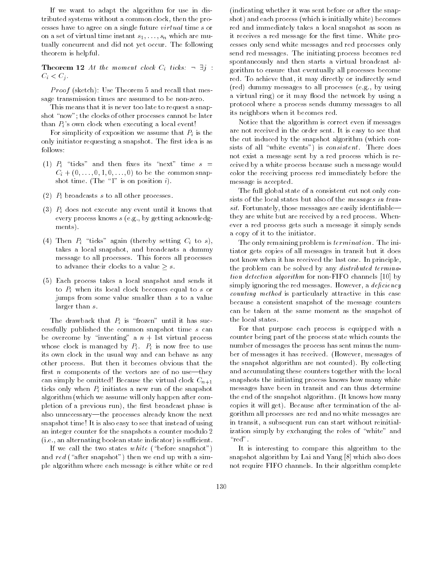If we want to adapt the algorithm for use in distributed systems without a common clock, then the processes have to agree on a single future virtual time <sup>s</sup> or on a set of virtual time instant  $s_1, \ldots, s_n$  which are mutually concurrent and did not yet occur. The following theorem is helpful.

**Theorem 12** At the moment clock  $C_i$  ticks:  $\neg \exists j : C_i < C_j$ .

P roof (sketch): Use Theorem 5 and recall that message transmission times are assumed to be non-zero.

This means that it is never too late to request a snapshot "now"; the clocks of other processes cannot be later than  $P_i$ 's own clock when executing a local event!

For simplicity of exposition we assume that  $P_i$  is the only initiator requesting a snapshot. The first idea is as follows:

- (1)  $P_i$  "ticks" and then fixes its "next" time  $s =$  $C_i + (0, \ldots, 0, 1, 0, \ldots, 0)$  to be the common snapshot time. (The "1" is on position i).
- (2)  $P_i$  broadcasts s to all other processes.
- (3)  $P_i$  does not execute any event until it knows that every process knows <sup>s</sup> (e.g., by getting acknowledg ments).
- (4) Then  $P_i$  "ticks" again (thereby setting  $C_i$  to s), takes a local snapshot, and broadcasts a dummy message to all processes. This forces all processes  $t_{\rm s}$  advance their clocks to a value  $\leq$  s.
- (5) Each process takes a local snapshot and sends it to  $P_i$  when its local clock becomes equal to s or jumps from some value smaller than <sup>s</sup> to a value larger than s.

The drawback that  $P_i$  is "frozen" until it has successfully published the common snapshot time <sup>s</sup> can be overcome by "inventing" a  $n + 1$ st virtual process whose clock is managed by  $P_i$ .  $P_i$  is now free to use its own clock in the usual way and can behave as any other process. But then it becomes obvious that the first *n* components of the vectors are of no use—they can simply be omitted! Because the virtual clock  $C_{n+1}$ ticks only when  $P_i$  initiates a new run of the snapshot algorithm (which we assume will only happen after completion of a previous run), the first broadcast phase is also unnecessary—the processes already know the next snapshot time! It is also easy to see that instead of using an integer counter for the snapshots a counter modulo 2  $(i.e., an alternating boolean state indicator)$  is sufficient.

If we call the two states white ("before snapshot") and red ("after snapshot") then we end up with a simple algorithm where each message is either white or red

(indicating whether it was sent before or after the snapshot) and each process (which is initially white) becomes red and immediately takes a local snapshot as soon as it receives a red message for the first time. White processes only send white messages and red processes only send red messages. The initiating process becomes red spontaneously and then starts a virtual broadcast algorithm to ensure that eventually all processes become red. To achieve that, it may directly or indirectly send (red) dummy messages to all processes (e.g., by using a virtual ring) or it may flood the network by using a protocol where a process sends dummy messages to all its neighbors when it becomes red.

Notice that the algorithm is correct even if messages are not received in the order sent. It is easy to see that the cut induced by the snapshot algorithm (which consists of all "white events") is *consistent*. There does not exist a message sent by a red process which is received by a white process because such a message would color the receiving process red immediately before the message is accepted.

The full global state of a consistent cut not only consists of the local states but also of the *messages in tran* $sit$ . Fortunately, those messages are easily identifiable they are white but are received by a red process. Whenever a red process gets such a message it simply sends a copy of it to the initiator.

The only remaining problem is termination. The initiator gets copies of all messages in transit but it does not know when it has received the last one. In principle, the problem can be solved by any *distributed termina*tion detection algorithm for non-FIFO channels [10] by simply ignoring the red messages. However, a  $deficiency$ counting method is particularly attractive in this case because a consistent snapshot of the message counters can be taken at the same moment as the snapshot of the local states.

For that purpose each process is equipped with a counter being part of the process state which counts the number of messages the process has sent minus the number of messages it has received. (However, messages of the snapshot algorithm are not counted). By collecting and accumulating these counters together with the local snapshots the initiating process knows how many white messages have been in transit and can thus determine the end of the snapshot algorithm. (It knows how many copies it will get). Because after termination of the algorithm all processes are red and no white messages are in transit, a subsequent run can start without reinitialization simply by exchanging the roles of "white" and " $\rm red$ ".

It is interesting to compare this algorithm to the snapshot algorithm by Lai and Yang [8] which also does not require FIFO channels. In their algorithm complete